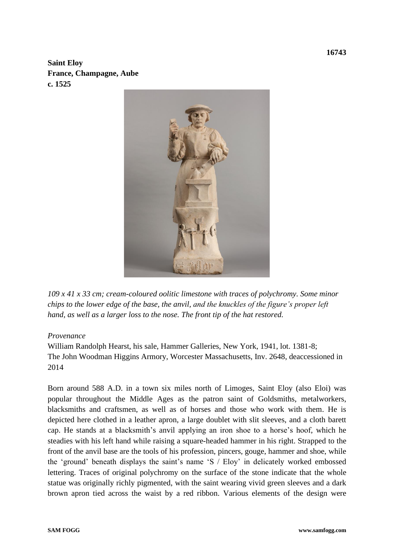**Saint Eloy France, Champagne, Aube c. 1525**



*109 x 41 x 33 cm; cream-coloured oolitic limestone with traces of polychromy. Some minor chips to the lower edge of the base, the anvil, and the knuckles of the figure's proper left hand, as well as a larger loss to the nose. The front tip of the hat restored.*

## *Provenance*

William Randolph Hearst, his sale, Hammer Galleries, New York, 1941, lot. 1381-8; The John Woodman Higgins Armory, Worcester Massachusetts, Inv. 2648, deaccessioned in 2014

Born around 588 A.D. in a town six miles north of Limoges, Saint Eloy (also Eloi) was popular throughout the Middle Ages as the patron saint of Goldsmiths, metalworkers, blacksmiths and craftsmen, as well as of horses and those who work with them. He is depicted here clothed in a leather apron, a large doublet with slit sleeves, and a cloth barett cap. He stands at a blacksmith's anvil applying an iron shoe to a horse's hoof, which he steadies with his left hand while raising a square-headed hammer in his right. Strapped to the front of the anvil base are the tools of his profession, pincers, gouge, hammer and shoe, while the 'ground' beneath displays the saint's name 'S / Eloy' in delicately worked embossed lettering. Traces of original polychromy on the surface of the stone indicate that the whole statue was originally richly pigmented, with the saint wearing vivid green sleeves and a dark brown apron tied across the waist by a red ribbon. Various elements of the design were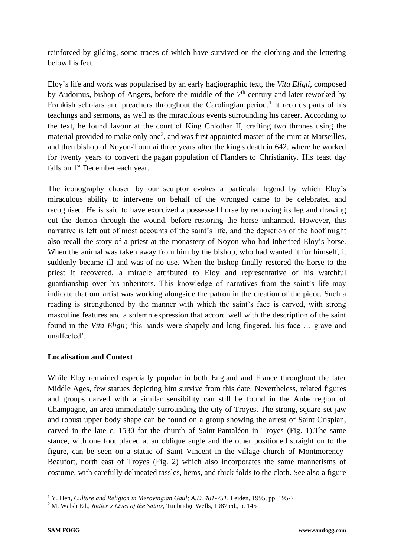reinforced by gilding, some traces of which have survived on the clothing and the lettering below his feet.

Eloy's life and work was popularised by an early hagiographic text, the *Vita Eligii*, composed by Audoinus, bishop of Angers, before the middle of the  $7<sup>th</sup>$  century and later reworked by Frankish scholars and preachers throughout the Carolingian period.<sup>1</sup> It records parts of his teachings and sermons, as well as the miraculous events surrounding his career. According to the text, he found favour at the court of King Chlothar II, crafting two thrones using the material provided to make only one<sup>2</sup>, and was first appointed master of the mint at Marseilles, and then [bishop of Noyon-Tournai](http://en.wikipedia.org/wiki/Bishop_of_Noyon-Tournai) three years after the king's death in 642, where he worked for twenty years to convert the [pagan](http://en.wikipedia.org/wiki/Paganism) population of [Flanders](http://en.wikipedia.org/wiki/Flanders) to Christianity. His feast day falls on 1<sup>st</sup> December each year.

The iconography chosen by our sculptor evokes a particular legend by which Eloy's miraculous ability to intervene on behalf of the wronged came to be celebrated and recognised. He is said to have exorcized a possessed horse by removing its leg and drawing out the demon through the wound, before restoring the horse unharmed. However, this narrative is left out of most accounts of the saint's life, and the depiction of the hoof might also recall the story of a priest at the monastery of Noyon who had inherited Eloy's horse. When the animal was taken away from him by the bishop, who had wanted it for himself, it suddenly became ill and was of no use. When the bishop finally restored the horse to the priest it recovered, a miracle attributed to Eloy and representative of his watchful guardianship over his inheritors. This knowledge of narratives from the saint's life may indicate that our artist was working alongside the patron in the creation of the piece. Such a reading is strengthened by the manner with which the saint's face is carved, with strong masculine features and a solemn expression that accord well with the description of the saint found in the *Vita Eligii*; 'his hands were shapely and long-fingered, his face … grave and unaffected'.

## **Localisation and Context**

While Eloy remained especially popular in both England and France throughout the later Middle Ages, few statues depicting him survive from this date. Nevertheless, related figures and groups carved with a similar sensibility can still be found in the Aube region of Champagne, an area immediately surrounding the city of Troyes. The strong, square-set jaw and robust upper body shape can be found on a group showing the arrest of Saint Crispian, carved in the late c. 1530 for the church of Saint-Pantaléon in Troyes (Fig. 1).The same stance, with one foot placed at an oblique angle and the other positioned straight on to the figure, can be seen on a statue of Saint Vincent in the village church of Montmorency-Beaufort, north east of Troyes (Fig. 2) which also incorporates the same mannerisms of costume, with carefully delineated tassles, hems, and thick folds to the cloth. See also a figure

<sup>1</sup> Y. Hen, *Culture and Religion in Merovingian Gaul; A.D. 481-751,* Leiden, 1995, pp. 195-7

<sup>2</sup> M. Walsh Ed., *Butler's Lives of the Saints*, Tunbridge Wells, 1987 ed., p. 145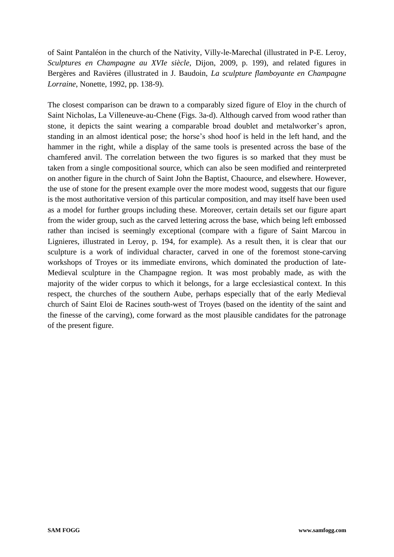of Saint Pantaléon in the church of the Nativity, Villy-le-Marechal (illustrated in P-E. Leroy, *Sculptures en Champagne au XVIe siècle,* Dijon, 2009, p. 199), and related figures in Bergères and Ravières (illustrated in J. Baudoin, *La sculpture flamboyante en Champagne Lorraine*, Nonette, 1992, pp. 138-9).

The closest comparison can be drawn to a comparably sized figure of Eloy in the church of Saint Nicholas, La Villeneuve-au-Chene (Figs. 3a-d). Although carved from wood rather than stone, it depicts the saint wearing a comparable broad doublet and metalworker's apron, standing in an almost identical pose; the horse's shod hoof is held in the left hand, and the hammer in the right, while a display of the same tools is presented across the base of the chamfered anvil. The correlation between the two figures is so marked that they must be taken from a single compositional source, which can also be seen modified and reinterpreted on another figure in the church of Saint John the Baptist, Chaource, and elsewhere. However, the use of stone for the present example over the more modest wood, suggests that our figure is the most authoritative version of this particular composition, and may itself have been used as a model for further groups including these. Moreover, certain details set our figure apart from the wider group, such as the carved lettering across the base, which being left embossed rather than incised is seemingly exceptional (compare with a figure of Saint Marcou in Lignieres, illustrated in Leroy, p. 194, for example). As a result then, it is clear that our sculpture is a work of individual character, carved in one of the foremost stone-carving workshops of Troyes or its immediate environs, which dominated the production of late-Medieval sculpture in the Champagne region. It was most probably made, as with the majority of the wider corpus to which it belongs, for a large ecclesiastical context. In this respect, the churches of the southern Aube, perhaps especially that of the early Medieval church of Saint Eloi de Racines south-west of Troyes (based on the identity of the saint and the finesse of the carving), come forward as the most plausible candidates for the patronage of the present figure.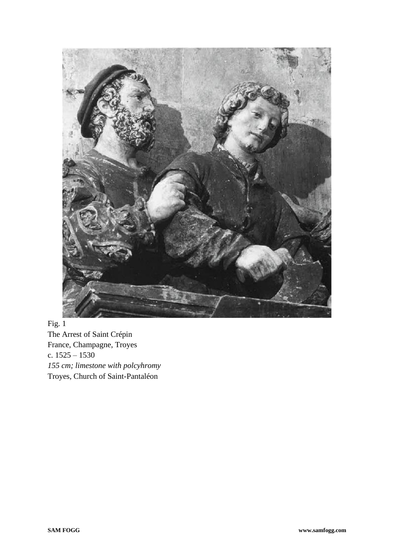

Fig. 1 The Arrest of Saint Crépin France, Champagne, Troyes c.  $1525 - 1530$ *155 cm; limestone with polcyhromy* Troyes, Church of Saint-Pantaléon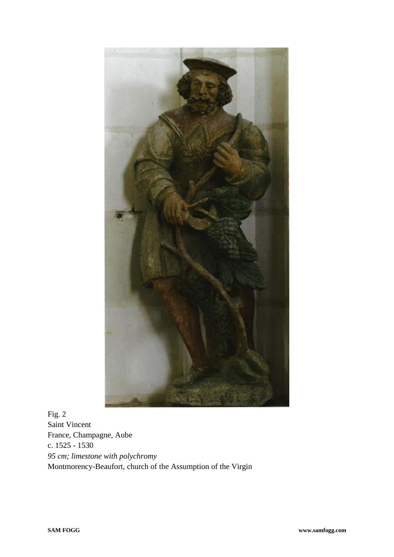

Fig. 2 Saint Vincent France, Champagne, Aube c. 1525 - 1530 *95 cm; limestone with polychromy* Montmorency-Beaufort, church of the Assumption of the Virgin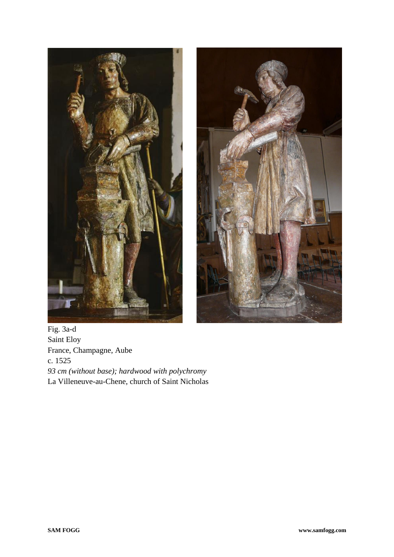



Fig. 3a-d Saint Eloy France, Champagne, Aube c. 1525 *93 cm (without base); hardwood with polychromy* La Villeneuve-au-Chene, church of Saint Nicholas